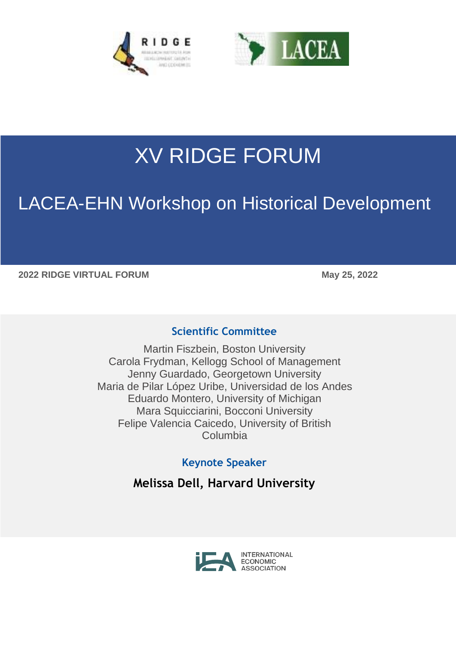



# XV RIDGE FORUM

## LACEA-EHN Workshop on Historical Development

**2022 RIDGE VIRTUAL FORUM May 25, 2022**

#### **Scientific Committee**

Martin Fiszbein, Boston University Carola Frydman, Kellogg School of Management Jenny Guardado, Georgetown University Maria de Pilar López Uribe, Universidad de los Andes Eduardo Montero, University of Michigan Mara Squicciarini, Bocconi University Felipe Valencia Caicedo, University of British Columbia

### **Keynote Speaker**

**Melissa Dell, Harvard University**

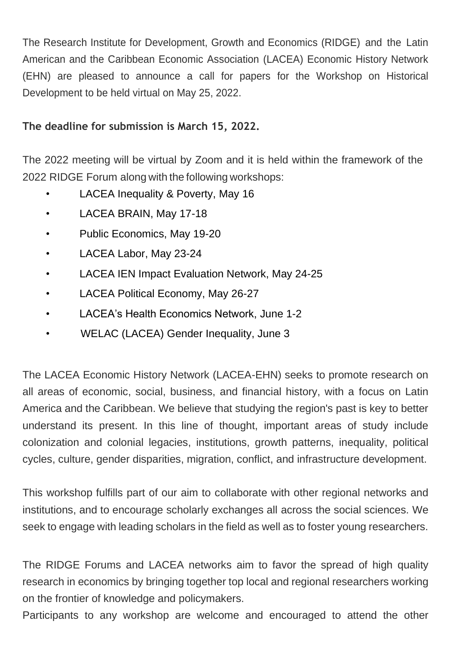The Research Institute for Development, Growth and Economics (RIDGE) and the Latin American and the Caribbean Economic Association (LACEA) Economic History Network (EHN) are pleased to announce a call for papers for the Workshop on Historical Development to be held virtual on May 25, 2022.

#### **The deadline for submission is March 15, 2022.**

The 2022 meeting will be virtual by Zoom and it is held within the framework of the 2022 RIDGE Forum along with the following workshops:

- LACEA Inequality & Poverty, May 16
- LACEA BRAIN, May 17-18
- Public Economics, May 19-20
- LACEA Labor, May 23-24
- LACEA IEN Impact Evaluation Network, May 24-25
- LACEA Political Economy, May 26-27
- LACEA's Health Economics Network, June 1-2
- WELAC (LACEA) Gender Inequality, June 3

The LACEA Economic History Network (LACEA-EHN) seeks to promote research on all areas of economic, social, business, and financial history, with a focus on Latin America and the Caribbean. We believe that studying the region's past is key to better understand its present. In this line of thought, important areas of study include colonization and colonial legacies, institutions, growth patterns, inequality, political cycles, culture, gender disparities, migration, conflict, and infrastructure development.

This workshop fulfills part of our aim to collaborate with other regional networks and institutions, and to encourage scholarly exchanges all across the social sciences. We seek to engage with leading scholars in the field as well as to foster young researchers.

The RIDGE Forums and LACEA networks aim to favor the spread of high quality research in economics by bringing together top local and regional researchers working on the frontier of knowledge and policymakers.

Participants to any workshop are welcome and encouraged to attend the other